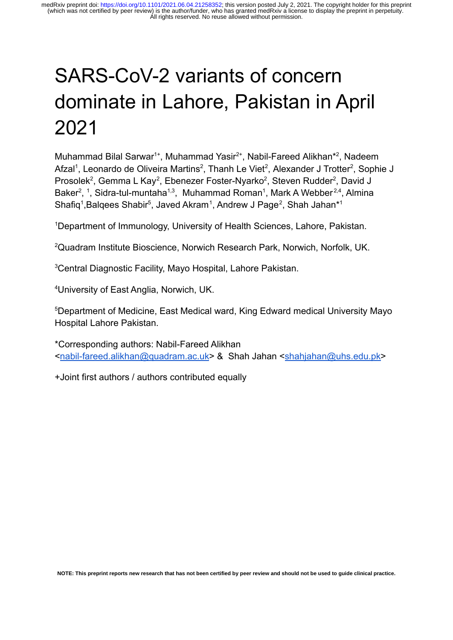# SARS-CoV-2 variants of concern dominate in Lahore, Pakistan in April 2021

Muhammad Bilal Sarwar<sup>1+</sup>, Muhammad Yasir<sup>2+</sup>, Nabil-Fareed Alikhan<sup>\*2</sup>, Nadeem Afzal<sup>1</sup>, Leonardo de Oliveira Martins<sup>2</sup>, Thanh Le Viet<sup>2</sup>, Alexander J Trotter<sup>2</sup>, Sophie J Prosolek<sup>2</sup>, Gemma L Kay<sup>2</sup>, Ebenezer Foster-Nyarko<sup>2</sup>, Steven Rudder<sup>2</sup>, David J Baker<sup>2</sup>, <sup>1</sup>, Sidra-tul-muntaha<sup>1,3</sup>, Muhammad Roman<sup>1</sup>, Mark A Webber<sup>2,4</sup>, Almina Shafiq<sup>1</sup>, Balqees Shabir<sup>5</sup>, Javed Akram<sup>1</sup>, Andrew J Page<sup>2</sup>, Shah Jahan\*<sup>1</sup>

<sup>1</sup>Department of Immunology, University of Health Sciences, Lahore, Pakistan.

<sup>2</sup>Quadram Institute Bioscience, Norwich Research Park, Norwich, Norfolk, UK.

<sup>3</sup>Central Diagnostic Facility, Mayo Hospital, Lahore Pakistan.

<sup>4</sup>University of East Anglia, Norwich, UK.

<sup>5</sup>Department of Medicine, East Medical ward, King Edward medical University Mayo Hospital Lahore Pakistan.

\*Corresponding authors: Nabil-Fareed Alikhan <[nabil-fareed.alikhan@quadram.ac.uk](mailto:nabil-fareed.alikhan@quadram.ac.uk)> & Shah Jahan <[shahjahan@uhs.edu.pk>](mailto:shahjahan@uhs.edu.pk)

+Joint first authors / authors contributed equally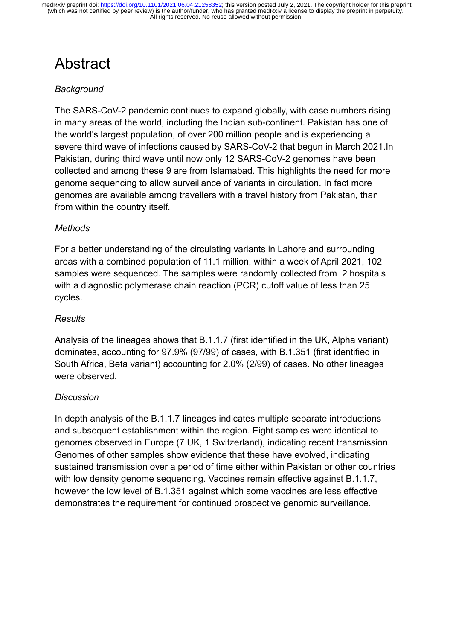## Abstract

#### *Background*

The SARS-CoV-2 pandemic continues to expand globally, with case numbers rising in many areas of the world, including the Indian sub-continent. Pakistan has one of the world's largest population, of over 200 million people and is experiencing a severe third wave of infections caused by SARS-CoV-2 that begun in March 2021.In Pakistan, during third wave until now only 12 SARS-CoV-2 genomes have been collected and among these 9 are from Islamabad. This highlights the need for more genome sequencing to allow surveillance of variants in circulation. In fact more genomes are available among travellers with a travel history from Pakistan, than from within the country itself.

#### *Methods*

For a better understanding of the circulating variants in Lahore and surrounding areas with a combined population of 11.1 million, within a week of April 2021, 102 samples were sequenced. The samples were randomly collected from 2 hospitals with a diagnostic polymerase chain reaction (PCR) cutoff value of less than 25 cycles.

#### *Results*

Analysis of the lineages shows that B.1.1.7 (first identified in the UK, Alpha variant) dominates, accounting for 97.9% (97/99) of cases, with B.1.351 (first identified in South Africa, Beta variant) accounting for 2.0% (2/99) of cases. No other lineages were observed.

#### *Discussion*

In depth analysis of the B.1.1.7 lineages indicates multiple separate introductions and subsequent establishment within the region. Eight samples were identical to genomes observed in Europe (7 UK, 1 Switzerland), indicating recent transmission. Genomes of other samples show evidence that these have evolved, indicating sustained transmission over a period of time either within Pakistan or other countries with low density genome sequencing. Vaccines remain effective against B.1.1.7, however the low level of B.1.351 against which some vaccines are less effective demonstrates the requirement for continued prospective genomic surveillance.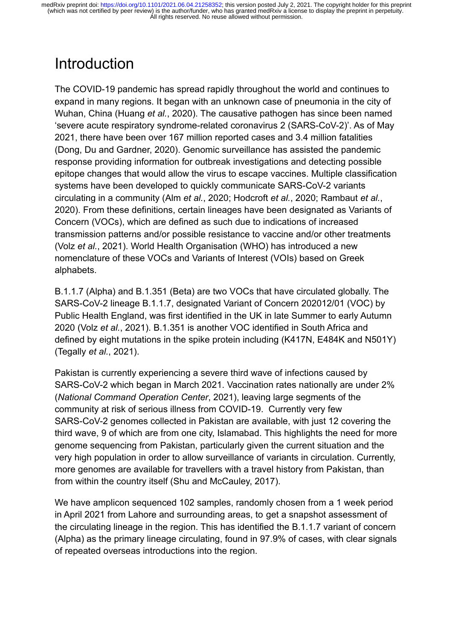### Introduction

The COVID-19 pandemic has spread rapidly throughout the world and continues to expand in many regions. It began with an unknown case of pneumonia in the city of Wuhan, China [\(Huang](https://www.zotero.org/google-docs/?0JP0W0) *et al.*, 2020). The causative pathogen has since been named 'severe acute respiratory syndrome-related coronavirus 2 (SARS-CoV-2)'. As of May 2021, there have been over 167 million reported cases and 3.4 million fatalities [\(Dong, Du and Gardner, 2020\)](https://www.zotero.org/google-docs/?fSOmiP). Genomic surveillance has assisted the pandemic response providing information for outbreak investigations and detecting possible epitope changes that would allow the virus to escape vaccines. Multiple classification systems have been developed to quickly communicate SARS-CoV-2 variants circulating in a community (Alm *et al.*, 2020; Hodcroft *et al.*[, 2020; Rambaut](https://www.zotero.org/google-docs/?hlgo6s) *et al.*, [2020\).](https://www.zotero.org/google-docs/?hlgo6s) From these definitions, certain lineages have been designated as Variants of Concern (VOCs), which are defined as such due to indications of increased transmission patterns and/or possible resistance to vaccine and/or other treatments (Volz *et al.*[, 2021\)](https://www.zotero.org/google-docs/?B1KgXF). World Health Organisation (WHO) has introduced a new nomenclature of these VOCs and Variants of Interest (VOIs) based on Greek alphabets.

B.1.1.7 (Alpha) and B.1.351 (Beta) are two VOCs that have circulated globally. The SARS-CoV-2 lineage B.1.1.7, designated Variant of Concern 202012/01 (VOC) by Public Health England, was first identified in the UK in late Summer to early Autumn 2020 (Volz *et al.*[, 2021\)](https://www.zotero.org/google-docs/?Tjfcp4). B.1.351 is another VOC identified in South Africa and defined by eight mutations in the spike protein including (K417N, E484K and N501Y) [\(Tegally](https://www.zotero.org/google-docs/?Im2p8O) *et al.*, 2021).

Pakistan is currently experiencing a severe third wave of infections caused by SARS-CoV-2 which began in March 2021. Vaccination rates nationally are under 2% (*[National Command Operation Center](https://www.zotero.org/google-docs/?TwAoXp)*, 2021), leaving large segments of the community at risk of serious illness from COVID-19. Currently very few SARS-CoV-2 genomes collected in Pakistan are available, with just 12 covering the third wave, 9 of which are from one city, Islamabad. This highlights the need for more genome sequencing from Pakistan, particularly given the current situation and the very high population in order to allow surveillance of variants in circulation. Currently, more genomes are available for travellers with a travel history from Pakistan, than from within the country itself [\(Shu and McCauley, 2017\).](https://www.zotero.org/google-docs/?bpYYA2)

We have amplicon sequenced 102 samples, randomly chosen from a 1 week period in April 2021 from Lahore and surrounding areas, to get a snapshot assessment of the circulating lineage in the region. This has identified the B.1.1.7 variant of concern (Alpha) as the primary lineage circulating, found in 97.9% of cases, with clear signals of repeated overseas introductions into the region.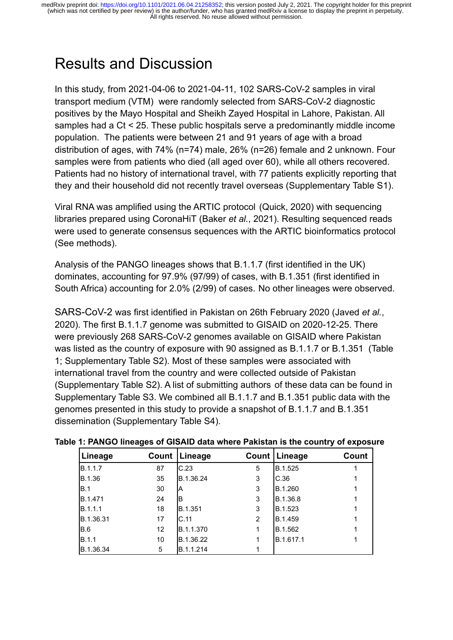### Results and Discussion

In this study, from 2021-04-06 to 2021-04-11, 102 SARS-CoV-2 samples in viral transport medium (VTM) were randomly selected from SARS-CoV-2 diagnostic positives by the Mayo Hospital and Sheikh Zayed Hospital in Lahore, Pakistan. All samples had a Ct < 25. These public hospitals serve a predominantly middle income population. The patients were between 21 and 91 years of age with a broad distribution of ages, with 74% (n=74) male, 26% (n=26) female and 2 unknown. Four samples were from patients who died (all aged over 60), while all others recovered. Patients had no history of international travel, with 77 patients explicitly reporting that they and their household did not recently travel overseas (Supplementary Table S1).

Viral RNA was amplified using the ARTIC protocol [\(Quick, 2020\)](https://www.zotero.org/google-docs/?0J1sj7) with sequencing libraries prepared using CoronaHiT (Baker *et al.*[, 2021\)](https://www.zotero.org/google-docs/?rH5Cpb). Resulting sequenced reads were used to generate consensus sequences with the ARTIC bioinformatics protocol (See methods).

Analysis of the PANGO lineages shows that B.1.1.7 (first identified in the UK) dominates, accounting for 97.9% (97/99) of cases, with B.1.351 (first identified in South Africa) accounting for 2.0% (2/99) of cases. No other lineages were observed.

SARS-CoV-2 was first identified in Pakistan on 26th February 2020 [\(Javed](https://www.zotero.org/google-docs/?lc2fHZ) *et al.*, [2020\).](https://www.zotero.org/google-docs/?lc2fHZ) The first B.1.1.7 genome was submitted to GISAID on 2020-12-25. There were previously 268 SARS-CoV-2 genomes available on GISAID where Pakistan was listed as the country of exposure with 90 assigned as B.1.1.7 or B.1.351 (Table 1; Supplementary Table S2). Most of these samples were associated with international travel from the country and were collected outside of Pakistan (Supplementary Table S2). A list of submitting authors of these data can be found in Supplementary Table S3. We combined all B.1.1.7 and B.1.351 public data with the genomes presented in this study to provide a snapshot of B.1.1.7 and B.1.351 dissemination (Supplementary Table S4).

| Lineage        |    | Count   Lineage |                | Count   Lineage | Count |
|----------------|----|-----------------|----------------|-----------------|-------|
| <b>B.1.1.7</b> | 87 | IC.23           | 5              | B.1.525         |       |
| IB.1.36        | 35 | B.1.36.24       | 3              | C.36            |       |
| IB.1           | 30 | ΙA              | 3              | B.1.260         |       |
| <b>B.1.471</b> | 24 | ΙB              | 3              | B.1.36.8        |       |
| IB.1.1.1       | 18 | B.1.351         | 3              | B.1.523         |       |
| IB.1.36.31     | 17 | IC.11           | $\overline{2}$ | B.1.459         |       |
| IB.6           | 12 | B.1.1.370       |                | B.1.562         |       |
| <b>B.1.1</b>   | 10 | B.1.36.22       |                | B.1.617.1       |       |
| IB.1.36.34     | 5  | B.1.1.214       |                |                 |       |

#### **Table 1: PANGO lineages of GISAID data where Pakistan is the country of exposure**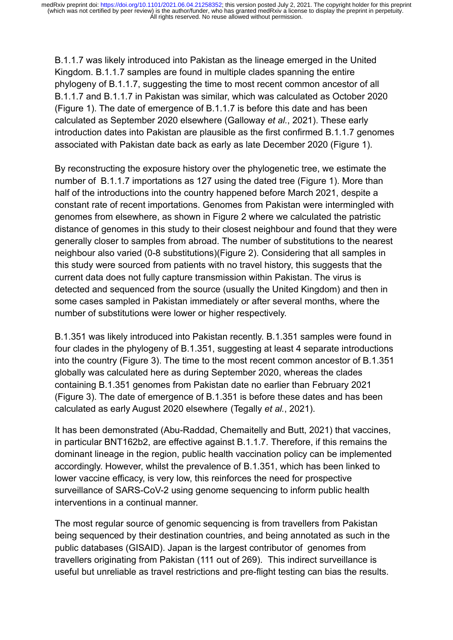B.1.1.7 was likely introduced into Pakistan as the lineage emerged in the United Kingdom. B.1.1.7 samples are found in multiple clades spanning the entire phylogeny of B.1.1.7, suggesting the time to most recent common ancestor of all B.1.1.7 and B.1.1.7 in Pakistan was similar, which was calculated as October 2020 (Figure 1). The date of emergence of B.1.1.7 is before this date and has been calculated as September 2020 elsewhere [\(Galloway](https://www.zotero.org/google-docs/?EKxn37) *et al.*, 2021). These early introduction dates into Pakistan are plausible as the first confirmed B.1.1.7 genomes associated with Pakistan date back as early as late December 2020 (Figure 1).

By reconstructing the exposure history over the phylogenetic tree, we estimate the number of B.1.1.7 importations as 127 using the dated tree (Figure 1). More than half of the introductions into the country happened before March 2021, despite a constant rate of recent importations. Genomes from Pakistan were intermingled with genomes from elsewhere, as shown in Figure 2 where we calculated the patristic distance of genomes in this study to their closest neighbour and found that they were generally closer to samples from abroad. The number of substitutions to the nearest neighbour also varied (0-8 substitutions)(Figure 2). Considering that all samples in this study were sourced from patients with no travel history, this suggests that the current data does not fully capture transmission within Pakistan. The virus is detected and sequenced from the source (usually the United Kingdom) and then in some cases sampled in Pakistan immediately or after several months, where the number of substitutions were lower or higher respectively.

B.1.351 was likely introduced into Pakistan recently. B.1.351 samples were found in four clades in the phylogeny of B.1.351, suggesting at least 4 separate introductions into the country (Figure 3). The time to the most recent common ancestor of B.1.351 globally was calculated here as during September 2020, whereas the clades containing B.1.351 genomes from Pakistan date no earlier than February 2021 (Figure 3). The date of emergence of B.1.351 is before these dates and has been calculated as early August 2020 elsewhere [\(Tegally](https://www.zotero.org/google-docs/?QvgdeW) *et al.*, 2021).

It has been demonstrated [\(Abu-Raddad, Chemaitelly and Butt, 2021\)](https://www.zotero.org/google-docs/?MawDZf) that vaccines, in particular BNT162b2, are effective against B.1.1.7. Therefore, if this remains the dominant lineage in the region, public health vaccination policy can be implemented accordingly. However, whilst the prevalence of B.1.351, which has been linked to lower vaccine efficacy, is very low, this reinforces the need for prospective surveillance of SARS-CoV-2 using genome sequencing to inform public health interventions in a continual manner.

The most regular source of genomic sequencing is from travellers from Pakistan being sequenced by their destination countries, and being annotated as such in the public databases (GISAID). Japan is the largest contributor of genomes from travellers originating from Pakistan (111 out of 269). This indirect surveillance is useful but unreliable as travel restrictions and pre-flight testing can bias the results.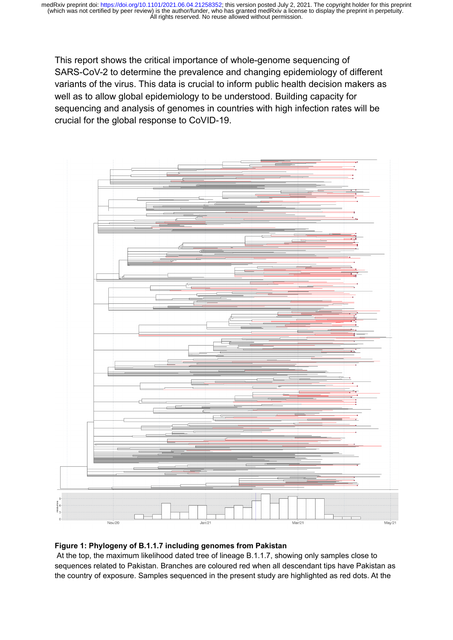This report shows the critical importance of whole-genome sequencing of SARS-CoV-2 to determine the prevalence and changing epidemiology of different variants of the virus. This data is crucial to inform public health decision makers as well as to allow global epidemiology to be understood. Building capacity for sequencing and analysis of genomes in countries with high infection rates will be crucial for the global response to CoVID-19.



#### **Figure 1: Phylogeny of B.1.1.7 including genomes from Pakistan**

At the top, the maximum likelihood dated tree of lineage B.1.1.7, showing only samples close to sequences related to Pakistan. Branches are coloured red when all descendant tips have Pakistan as the country of exposure. Samples sequenced in the present study are highlighted as red dots. At the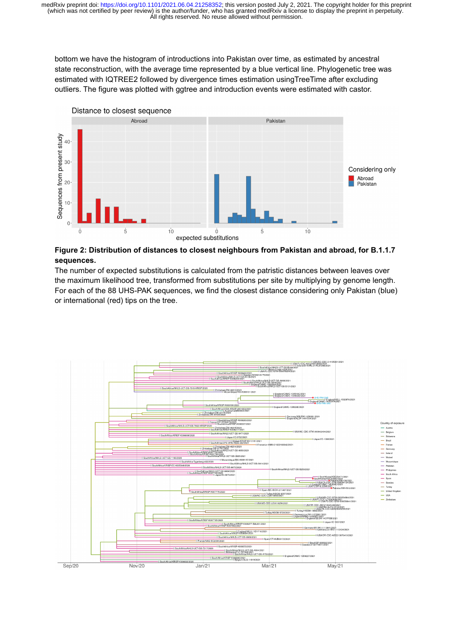bottom we have the histogram of introductions into Pakistan over time, as estimated by ancestral state reconstruction, with the average time represented by a blue vertical line. Phylogenetic tree was estimated with IQTREE2 followed by divergence times estimation usingTreeTime after excluding outliers. The figure was plotted with ggtree and introduction events were estimated with castor.



#### **Figure 2: Distribution of distances to closest neighbours from Pakistan and abroad, for B.1.1.7 sequences.**

The number of expected substitutions is calculated from the patristic distances between leaves over the maximum likelihood tree, transformed from substitutions per site by multiplying by genome length. For each of the 88 UHS-PAK sequences, we find the closest distance considering only Pakistan (blue) or international (red) tips on the tree.

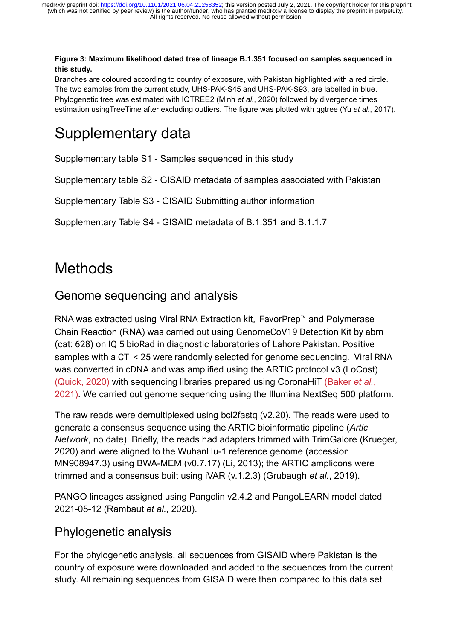#### **Figure 3: Maximum likelihood dated tree of lineage B.1.351 focused on samples sequenced in this study.**

Branches are coloured according to country of exposure, with Pakistan highlighted with a red circle. The two samples from the current study, UHS-PAK-S45 and UHS-PAK-S93, are labelled in blue. Phylogenetic tree was estimated with IQTREE2 (Minh *et al.*[, 2020\)](https://www.zotero.org/google-docs/?YlrFoZ) followed by divergence times estimation usingTreeTime after excluding outliers. The figure was plotted with ggtree (Yu *et al.*[, 2017\).](https://www.zotero.org/google-docs/?S8Fxe1)

### Supplementary data

Supplementary table S1 - Samples sequenced in this study

Supplementary table S2 - GISAID metadata of samples associated with Pakistan

Supplementary Table S3 - GISAID Submitting author information

Supplementary Table S4 - GISAID metadata of B.1.351 and B.1.1.7

### **Methods**

### Genome sequencing and analysis

RNA was extracted using Viral RNA Extraction kit, FavorPrep™ and Polymerase Chain Reaction (RNA) was carried out using GenomeCoV19 Detection Kit by abm (cat: 628) on IQ 5 bioRad in diagnostic laboratories of Lahore Pakistan. Positive samples with a CT < 25 were randomly selected for genome sequencing. Viral RNA was converted in cDNA and was amplified using the ARTIC protocol v3 (LoCost) [\(Quick, 2020\)](https://www.zotero.org/google-docs/?broken=yicssQ) with sequencing libraries prepared using CoronaHiT [\(Baker](https://www.zotero.org/google-docs/?broken=unXas2) *et al.*, [2021\).](https://www.zotero.org/google-docs/?broken=unXas2) We carried out genome sequencing using the Illumina NextSeq 500 platform.

The raw reads were demultiplexed using bcl2fastq (v2.20). The reads were used to generate a consensus sequence using the ARTIC bioinformatic pipeline (*[Artic](https://www.zotero.org/google-docs/?51skjc) Network*[, no date\).](https://www.zotero.org/google-docs/?51skjc) Briefly, the reads had adapters trimmed with TrimGalore [\(Krueger,](https://www.zotero.org/google-docs/?VYBgkK) [2020\)](https://www.zotero.org/google-docs/?VYBgkK) and were aligned to the WuhanHu-1 reference genome (accession MN908947.3) using BWA-MEM (v0.7.17) [\(Li, 2013\);](https://www.zotero.org/google-docs/?ZXFgZe) the ARTIC amplicons were trimmed and a consensus built using iVAR (v.1.2.3) [\(Grubaugh](https://www.zotero.org/google-docs/?z9rJaV) *et al.*, 2019).

PANGO lineages assigned using Pangolin v2.4.2 and PangoLEARN model dated 2021-05-12 [\(Rambaut](https://www.zotero.org/google-docs/?ksnUFV) *et al.*, 2020).

### Phylogenetic analysis

For the phylogenetic analysis, all sequences from GISAID where Pakistan is the country of exposure were downloaded and added to the sequences from the current study. All remaining sequences from GISAID were then compared to this data set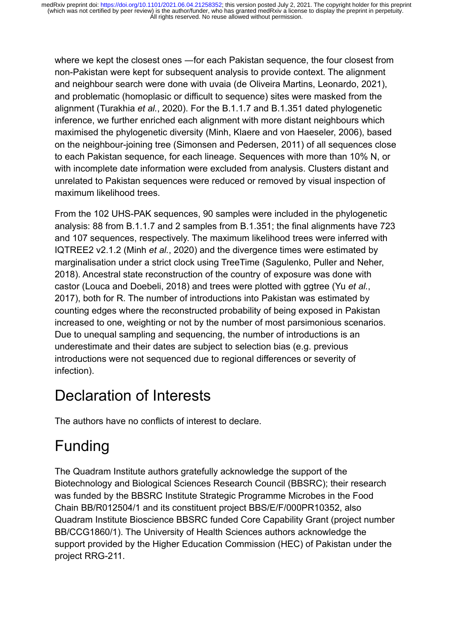where we kept the closest ones —for each Pakistan sequence, the four closest from non-Pakistan were kept for subsequent analysis to provide context. The alignment and neighbour search were done with uvaia [\(de Oliveira Martins, Leonardo, 2021\)](https://www.zotero.org/google-docs/?dRbBsv), and problematic (homoplasic or difficult to sequence) sites were masked from the alignment [\(Turakhia](https://www.zotero.org/google-docs/?qrPggI) *et al.*, 2020). For the B.1.1.7 and B.1.351 dated phylogenetic inference, we further enriched each alignment with more distant neighbours which maximised the phylogenetic diversity [\(Minh, Klaere and von Haeseler, 2006\)](https://www.zotero.org/google-docs/?KfGZxW), based on the neighbour-joining tree [\(Simonsen and Pedersen, 2011\)](https://www.zotero.org/google-docs/?93AaBB) of all sequences close to each Pakistan sequence, for each lineage. Sequences with more than 10% N, or with incomplete date information were excluded from analysis. Clusters distant and unrelated to Pakistan sequences were reduced or removed by visual inspection of maximum likelihood trees.

From the 102 UHS-PAK sequences, 90 samples were included in the phylogenetic analysis: 88 from B.1.1.7 and 2 samples from B.1.351; the final alignments have 723 and 107 sequences, respectively. The maximum likelihood trees were inferred with IQTREE2 v2.1.2 (Minh *et al.*[, 2020\)](https://www.zotero.org/google-docs/?dCqefe) and the divergence times were estimated by marginalisation under a strict clock using TreeTime [\(Sagulenko, Puller and Neher,](https://www.zotero.org/google-docs/?Md4K7K) [2018\).](https://www.zotero.org/google-docs/?Md4K7K) Ancestral state reconstruction of the country of exposure was done with castor [\(Louca and Doebeli, 2018\)](https://www.zotero.org/google-docs/?GFZVQ5) and trees were plotted with ggtree (Yu *[et al.](https://www.zotero.org/google-docs/?1N3sWn)*, [2017\),](https://www.zotero.org/google-docs/?1N3sWn) both for R. The number of introductions into Pakistan was estimated by counting edges where the reconstructed probability of being exposed in Pakistan increased to one, weighting or not by the number of most parsimonious scenarios. Due to unequal sampling and sequencing, the number of introductions is an underestimate and their dates are subject to selection bias (e.g. previous introductions were not sequenced due to regional differences or severity of infection).

### Declaration of Interests

The authors have no conflicts of interest to declare.

### Funding

The Quadram Institute authors gratefully acknowledge the support of the Biotechnology and Biological Sciences Research Council (BBSRC); their research was funded by the BBSRC Institute Strategic Programme Microbes in the Food Chain BB/R012504/1 and its constituent project BBS/E/F/000PR10352, also Quadram Institute Bioscience BBSRC funded Core Capability Grant (project number BB/CCG1860/1). The University of Health Sciences authors acknowledge the support provided by the Higher Education Commission (HEC) of Pakistan under the project RRG-211.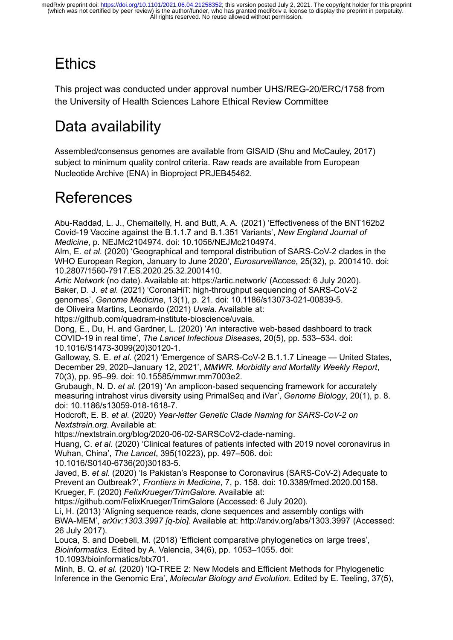# **Ethics**

This project was conducted under approval number UHS/REG-20/ERC/1758 from the University of Health Sciences Lahore Ethical Review Committee

## Data availability

Assembled/consensus genomes are available from GISAID [\(Shu and McCauley, 2017\)](https://www.zotero.org/google-docs/?8rUS5r) subject to minimum quality control criteria. Raw reads are available from European Nucleotide Archive (ENA) in Bioproject PRJEB45462.

### References

[Abu-Raddad, L. J., Chemaitelly, H. and Butt, A. A. \(2021\) 'Effectiveness of the BNT162b2](https://www.zotero.org/google-docs/?MaQ6iA) [Covid-19 Vaccine against the B.1.1.7 and B.1.351 Variants',](https://www.zotero.org/google-docs/?MaQ6iA) *New England Journal of Medicine*[, p. NEJMc2104974. doi: 10.1056/NEJMc2104974.](https://www.zotero.org/google-docs/?MaQ6iA)

Alm, E. *et al.* [\(2020\) 'Geographical and temporal distribution of SARS-CoV-2 clades in the](https://www.zotero.org/google-docs/?MaQ6iA) [WHO European Region, January to June 2020',](https://www.zotero.org/google-docs/?MaQ6iA) *Eurosurveillance*, 25(32), p. 2001410. doi: [10.2807/1560-7917.ES.2020.25.32.2001410.](https://www.zotero.org/google-docs/?MaQ6iA)

*Artic Network* [\(no date\). Available at: https://artic.network/ \(Accessed: 6 July 2020\).](https://www.zotero.org/google-docs/?MaQ6iA) Baker, D. J. *et al.* [\(2021\) 'CoronaHiT: high-throughput sequencing of SARS-CoV-2](https://www.zotero.org/google-docs/?MaQ6iA) genomes', *Genome Medicine*[, 13\(1\), p. 21. doi: 10.1186/s13073-021-00839-5.](https://www.zotero.org/google-docs/?MaQ6iA)

[de Oliveira Martins, Leonardo \(2021\)](https://www.zotero.org/google-docs/?MaQ6iA) *Uvaia*. Available at: [https://github.com/quadram-institute-bioscience/uvaia.](https://www.zotero.org/google-docs/?MaQ6iA)

[Dong, E., Du, H. and Gardner, L. \(2020\) 'An interactive web-based dashboard to track](https://www.zotero.org/google-docs/?MaQ6iA) COVID-19 in real time', *[The Lancet Infectious Diseases](https://www.zotero.org/google-docs/?MaQ6iA)*, 20(5), pp. 533–534. doi: [10.1016/S1473-3099\(20\)30120-1.](https://www.zotero.org/google-docs/?MaQ6iA)

Galloway, S. E. *et al.* [\(2021\) 'Emergence of SARS-CoV-2 B.1.1.7 Lineage — United States,](https://www.zotero.org/google-docs/?MaQ6iA) December 29, 2020–January 12, 2021', *[MMWR. Morbidity and Mortality Weekly Report](https://www.zotero.org/google-docs/?MaQ6iA)*, [70\(3\), pp. 95–99. doi: 10.15585/mmwr.mm7003e2.](https://www.zotero.org/google-docs/?MaQ6iA)

Grubaugh, N. D. *et al.* [\(2019\) 'An amplicon-based sequencing framework for accurately](https://www.zotero.org/google-docs/?MaQ6iA) [measuring intrahost virus diversity using PrimalSeq and iVar',](https://www.zotero.org/google-docs/?MaQ6iA) *Genome Biology*, 20(1), p. 8. [doi: 10.1186/s13059-018-1618-7.](https://www.zotero.org/google-docs/?MaQ6iA)

Hodcroft, E. B. *et al.* (2020) *[Year-letter Genetic Clade Naming for SARS-CoV-2 on](https://www.zotero.org/google-docs/?MaQ6iA) [Nextstrain.org](https://www.zotero.org/google-docs/?MaQ6iA)*. Available at:

[https://nextstrain.org/blog/2020-06-02-SARSCoV2-clade-naming.](https://www.zotero.org/google-docs/?MaQ6iA)

Huang, C. *et al.* [\(2020\) 'Clinical features of patients infected with 2019 novel coronavirus in](https://www.zotero.org/google-docs/?MaQ6iA) Wuhan, China', *The Lancet*[, 395\(10223\), pp. 497–506. doi:](https://www.zotero.org/google-docs/?MaQ6iA)

[10.1016/S0140-6736\(20\)30183-5.](https://www.zotero.org/google-docs/?MaQ6iA)

Javed, B. *et al.* [\(2020\) 'Is Pakistan's Response to Coronavirus \(SARS-CoV-2\) Adequate to](https://www.zotero.org/google-docs/?MaQ6iA) Prevent an Outbreak?', *Frontiers in Medicine*[, 7, p. 158. doi: 10.3389/fmed.2020.00158.](https://www.zotero.org/google-docs/?MaQ6iA) Krueger, F. (2020) *[FelixKrueger/TrimGalore](https://www.zotero.org/google-docs/?MaQ6iA)*. Available at:

[https://github.com/FelixKrueger/TrimGalore \(Accessed: 6 July 2020\).](https://www.zotero.org/google-docs/?MaQ6iA)

[Li, H. \(2013\) 'Aligning sequence reads, clone sequences and assembly contigs with](https://www.zotero.org/google-docs/?MaQ6iA) BWA-MEM', *arXiv:1303.3997 [q-bio]*[. Available at: http://arxiv.org/abs/1303.3997 \(Accessed:](https://www.zotero.org/google-docs/?MaQ6iA) [26 July 2017\).](https://www.zotero.org/google-docs/?MaQ6iA)

[Louca, S. and Doebeli, M. \(2018\) 'Efficient comparative phylogenetics on large trees',](https://www.zotero.org/google-docs/?MaQ6iA) *Bioinformatics*[. Edited by A. Valencia, 34\(6\), pp. 1053–1055. doi:](https://www.zotero.org/google-docs/?MaQ6iA) [10.1093/bioinformatics/btx701.](https://www.zotero.org/google-docs/?MaQ6iA)

Minh, B. Q. *et al.* [\(2020\) 'IQ-TREE 2: New Models and Efficient Methods for Phylogenetic](https://www.zotero.org/google-docs/?MaQ6iA) Inference in the Genomic Era', *[Molecular Biology and Evolution](https://www.zotero.org/google-docs/?MaQ6iA)*. Edited by E. Teeling, 37(5),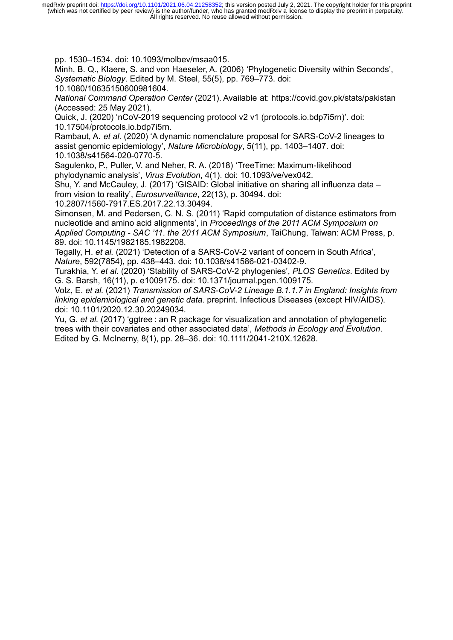[pp. 1530–1534. doi: 10.1093/molbev/msaa015.](https://www.zotero.org/google-docs/?MaQ6iA)

[Minh, B. Q., Klaere, S. and von Haeseler, A. \(2006\) 'Phylogenetic Diversity within Seconds',](https://www.zotero.org/google-docs/?MaQ6iA) *Systematic Biology*[. Edited by M. Steel, 55\(5\), pp. 769–773. doi:](https://www.zotero.org/google-docs/?MaQ6iA)

[10.1080/10635150600981604.](https://www.zotero.org/google-docs/?MaQ6iA)

*National Command Operation Center* [\(2021\). Available at: https://covid.gov.pk/stats/pakistan](https://www.zotero.org/google-docs/?MaQ6iA) [\(Accessed: 25 May 2021\).](https://www.zotero.org/google-docs/?MaQ6iA)

[Quick, J. \(2020\) 'nCoV-2019 sequencing protocol v2 v1 \(protocols.io.bdp7i5rn\)'. doi:](https://www.zotero.org/google-docs/?MaQ6iA) [10.17504/protocols.io.bdp7i5rn.](https://www.zotero.org/google-docs/?MaQ6iA)

Rambaut, A. *et al.* [\(2020\) 'A dynamic nomenclature proposal for SARS-CoV-2 lineages to](https://www.zotero.org/google-docs/?MaQ6iA) assist genomic epidemiology', *Nature Microbiology*[, 5\(11\), pp. 1403–1407. doi:](https://www.zotero.org/google-docs/?MaQ6iA) [10.1038/s41564-020-0770-5.](https://www.zotero.org/google-docs/?MaQ6iA)

[Sagulenko, P., Puller, V. and Neher, R. A. \(2018\) 'TreeTime: Maximum-likelihood](https://www.zotero.org/google-docs/?MaQ6iA) phylodynamic analysis', *Virus Evolution*[, 4\(1\). doi: 10.1093/ve/vex042.](https://www.zotero.org/google-docs/?MaQ6iA)

[Shu, Y. and McCauley, J. \(2017\) 'GISAID: Global initiative on sharing all influenza data –](https://www.zotero.org/google-docs/?MaQ6iA) from vision to reality', *Eurosurveillance*[, 22\(13\), p. 30494. doi:](https://www.zotero.org/google-docs/?MaQ6iA)

[10.2807/1560-7917.ES.2017.22.13.30494.](https://www.zotero.org/google-docs/?MaQ6iA)

[Simonsen, M. and Pedersen, C. N. S. \(2011\) 'Rapid computation of distance estimators from](https://www.zotero.org/google-docs/?MaQ6iA) nucleotide and amino acid alignments', in *[Proceedings of the 2011 ACM Symposium on](https://www.zotero.org/google-docs/?MaQ6iA) Applied Computing - SAC '11*. *the 2011 ACM Symposium*[, TaiChung, Taiwan: ACM Press, p.](https://www.zotero.org/google-docs/?MaQ6iA) [89. doi: 10.1145/1982185.1982208.](https://www.zotero.org/google-docs/?MaQ6iA)

Tegally, H. *et al.* [\(2021\) 'Detection of a SARS-CoV-2 variant of concern in South Africa',](https://www.zotero.org/google-docs/?MaQ6iA) *Nature*[, 592\(7854\), pp. 438–443. doi: 10.1038/s41586-021-03402-9.](https://www.zotero.org/google-docs/?MaQ6iA)

Turakhia, Y. *et al.* [\(2020\) 'Stability of SARS-CoV-2 phylogenies',](https://www.zotero.org/google-docs/?MaQ6iA) *PLOS Genetics*. Edited by [G. S. Barsh, 16\(11\), p. e1009175. doi: 10.1371/journal.pgen.1009175.](https://www.zotero.org/google-docs/?MaQ6iA)

Volz, E. *et al.* (2021) *[Transmission of SARS-CoV-2 Lineage B.1.1.7 in England: Insights from](https://www.zotero.org/google-docs/?MaQ6iA) linking epidemiological and genetic data*[. preprint. Infectious Diseases \(except HIV/AIDS\).](https://www.zotero.org/google-docs/?MaQ6iA) [doi: 10.1101/2020.12.30.20249034.](https://www.zotero.org/google-docs/?MaQ6iA)

Yu, G. *et al.* (2017) 'ggtree [: an R package for visualization and annotation of phylogenetic](https://www.zotero.org/google-docs/?MaQ6iA) [trees with their covariates and other associated data',](https://www.zotero.org/google-docs/?MaQ6iA) *Methods in Ecology and Evolution*. [Edited by G. McInerny, 8\(1\), pp. 28–36. doi: 10.1111/2041-210X.12628.](https://www.zotero.org/google-docs/?MaQ6iA)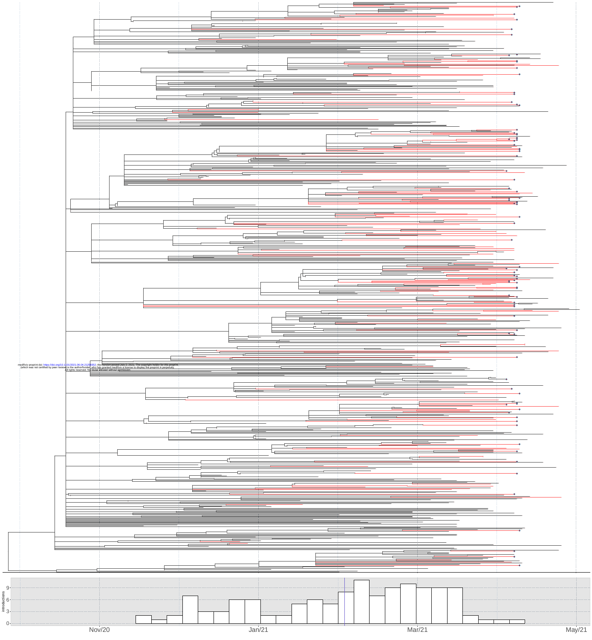



 $9 -$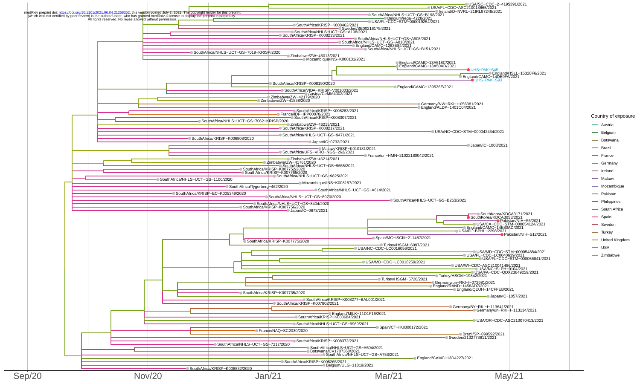